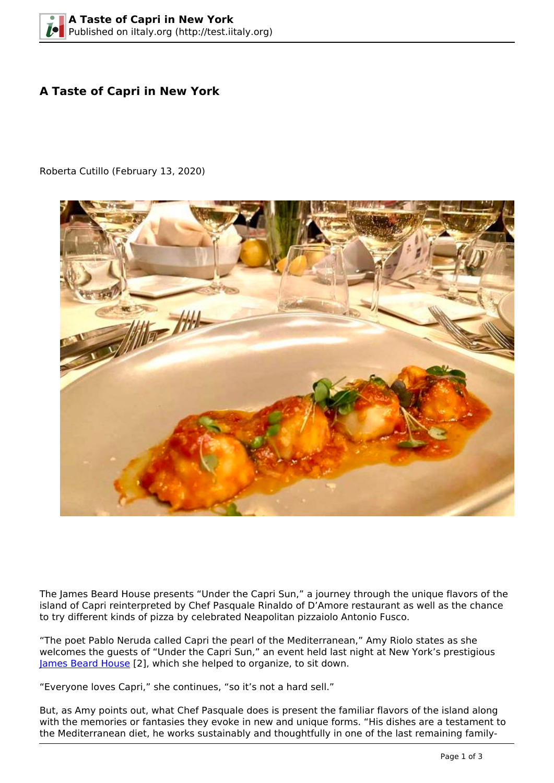## **A Taste of Capri in New York**

Roberta Cutillo (February 13, 2020)



The James Beard House presents "Under the Capri Sun," a journey through the unique flavors of the island of Capri reinterpreted by Chef Pasquale Rinaldo of D'Amore restaurant as well as the chance to try different kinds of pizza by celebrated Neapolitan pizzaiolo Antonio Fusco.

"The poet Pablo Neruda called Capri the pearl of the Mediterranean," Amy Riolo states as she welcomes the guests of "Under the Capri Sun," an event held last night at New York's prestigious [James Beard House](https://www.jamesbeard.org/events/under-the-capri-sun?category=Dinner) [2], which she helped to organize, to sit down.

"Everyone loves Capri," she continues, "so it's not a hard sell."

But, as Amy points out, what Chef Pasquale does is present the familiar flavors of the island along with the memories or fantasies they evoke in new and unique forms. "His dishes are a testament to the Mediterranean diet, he works sustainably and thoughtfully in one of the last remaining family-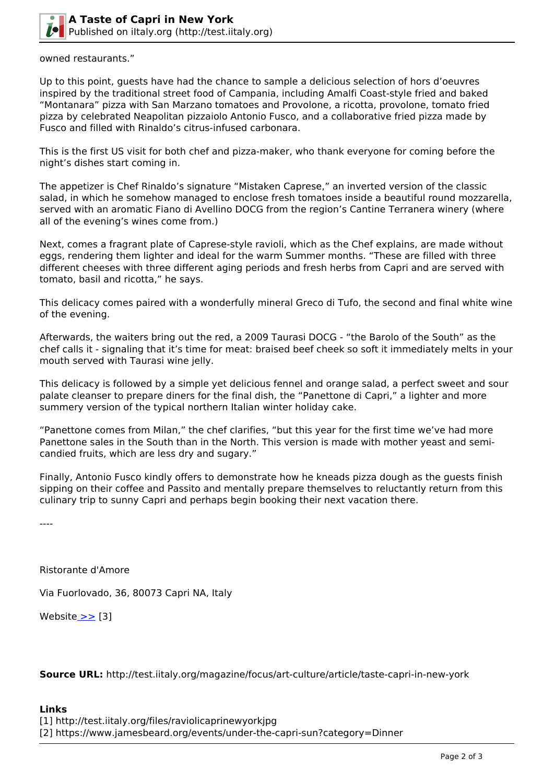

owned restaurants."

Up to this point, guests have had the chance to sample a delicious selection of hors d'oeuvres inspired by the traditional street food of Campania, including Amalfi Coast-style fried and baked "Montanara" pizza with San Marzano tomatoes and Provolone, a ricotta, provolone, tomato fried pizza by celebrated Neapolitan pizzaiolo Antonio Fusco, and a collaborative fried pizza made by Fusco and filled with Rinaldo's citrus-infused carbonara.

This is the first US visit for both chef and pizza-maker, who thank everyone for coming before the night's dishes start coming in.

The appetizer is Chef Rinaldo's signature "Mistaken Caprese," an inverted version of the classic salad, in which he somehow managed to enclose fresh tomatoes inside a beautiful round mozzarella, served with an aromatic Fiano di Avellino DOCG from the region's Cantine Terranera winery (where all of the evening's wines come from.)

Next, comes a fragrant plate of Caprese-style ravioli, which as the Chef explains, are made without eggs, rendering them lighter and ideal for the warm Summer months. "These are filled with three different cheeses with three different aging periods and fresh herbs from Capri and are served with tomato, basil and ricotta," he says.

This delicacy comes paired with a wonderfully mineral Greco di Tufo, the second and final white wine of the evening.

Afterwards, the waiters bring out the red, a 2009 Taurasi DOCG - "the Barolo of the South" as the chef calls it - signaling that it's time for meat: braised beef cheek so soft it immediately melts in your mouth served with Taurasi wine jelly.

This delicacy is followed by a simple yet delicious fennel and orange salad, a perfect sweet and sour palate cleanser to prepare diners for the final dish, the "Panettone di Capri," a lighter and more summery version of the typical northern Italian winter holiday cake.

"Panettone comes from Milan," the chef clarifies, "but this year for the first time we've had more Panettone sales in the South than in the North. This version is made with mother yeast and semicandied fruits, which are less dry and sugary."

Finally, Antonio Fusco kindly offers to demonstrate how he kneads pizza dough as the guests finish sipping on their coffee and Passito and mentally prepare themselves to reluctantly return from this culinary trip to sunny Capri and perhaps begin booking their next vacation there.

----

Ristorante d'Amore

Via Fuorlovado, 36, 80073 Capri NA, Italy

Website [>>](http://http://www.damorecapri.com/) [3]

**Source URL:** http://test.iitaly.org/magazine/focus/art-culture/article/taste-capri-in-new-york

## **Links**

[1] http://test.iitaly.org/files/raviolicaprinewyorkjpg

[2] https://www.jamesbeard.org/events/under-the-capri-sun?category=Dinner